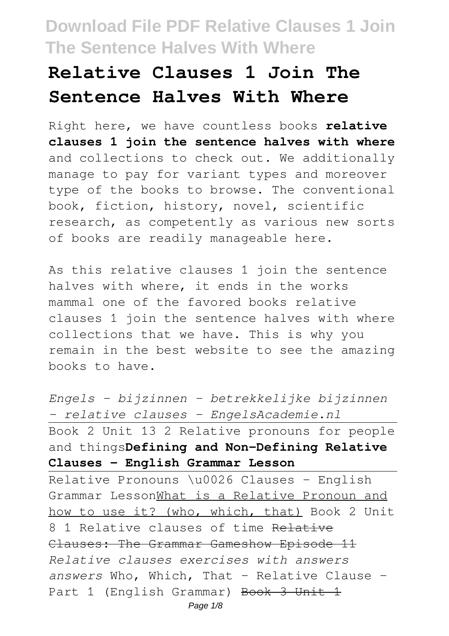# **Relative Clauses 1 Join The Sentence Halves With Where**

Right here, we have countless books **relative clauses 1 join the sentence halves with where** and collections to check out. We additionally manage to pay for variant types and moreover type of the books to browse. The conventional book, fiction, history, novel, scientific research, as competently as various new sorts of books are readily manageable here.

As this relative clauses 1 join the sentence halves with where, it ends in the works mammal one of the favored books relative clauses 1 join the sentence halves with where collections that we have. This is why you remain in the best website to see the amazing books to have.

*Engels - bijzinnen - betrekkelijke bijzinnen - relative clauses - EngelsAcademie.nl* Book 2 Unit 13 2 Relative pronouns for people and things**Defining and Non-Defining Relative Clauses - English Grammar Lesson**

Relative Pronouns \u0026 Clauses - English Grammar LessonWhat is a Relative Pronoun and how to use it? (who, which, that) Book 2 Unit 8 1 Relative clauses of time Relative Clauses: The Grammar Gameshow Episode 11 *Relative clauses exercises with answers answers* Who, Which, That - Relative Clause - Part 1 (English Grammar) Book 3 Unit 1 Page  $1/8$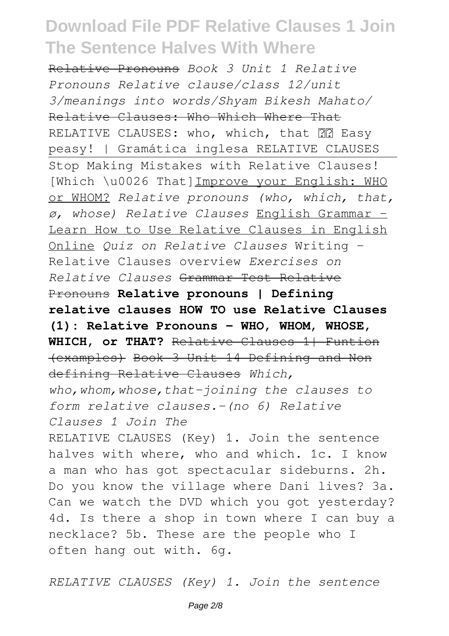Relative Pronouns *Book 3 Unit 1 Relative Pronouns Relative clause/class 12/unit 3/meanings into words/Shyam Bikesh Mahato/* Relative Clauses: Who Which Where That RELATIVE CLAUSES: who, which, that **PP** Easy peasy! | Gramática inglesa RELATIVE CLAUSES Stop Making Mistakes with Relative Clauses! [Which \u0026 That]Improve your English: WHO or WHOM? *Relative pronouns (who, which, that, ø, whose) Relative Clauses* English Grammar - Learn How to Use Relative Clauses in English Online *Quiz on Relative Clauses* Writing - Relative Clauses overview *Exercises on Relative Clauses* Grammar Test Relative Pronouns **Relative pronouns | Defining relative clauses HOW TO use Relative Clauses (1): Relative Pronouns - WHO, WHOM, WHOSE, WHICH, or THAT?** Relative Clauses 1| Funtion (examples) Book 3 Unit 14 Defining and Non defining Relative Clauses *Which, who,whom,whose,that-joining the clauses to form relative clauses.-(no 6) Relative Clauses 1 Join The* RELATIVE CLAUSES (Key) 1. Join the sentence halves with where, who and which. 1c. I know a man who has got spectacular sideburns. 2h. Do you know the village where Dani lives? 3a. Can we watch the DVD which you got yesterday? 4d. Is there a shop in town where I can buy a necklace? 5b. These are the people who I often hang out with. 6g.

*RELATIVE CLAUSES (Key) 1. Join the sentence*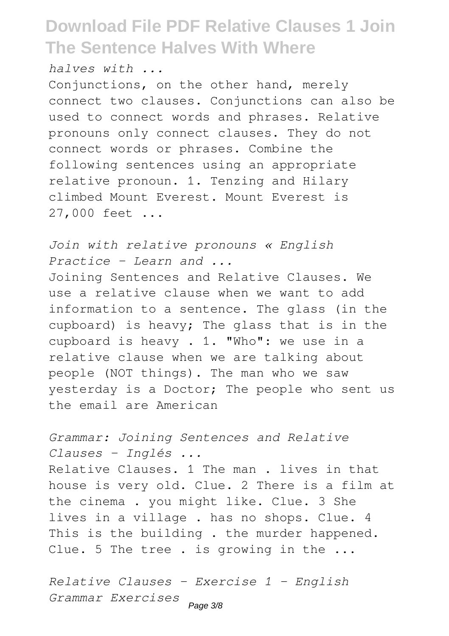*halves with ...*

Conjunctions, on the other hand, merely connect two clauses. Conjunctions can also be used to connect words and phrases. Relative pronouns only connect clauses. They do not connect words or phrases. Combine the following sentences using an appropriate relative pronoun. 1. Tenzing and Hilary climbed Mount Everest. Mount Everest is 27,000 feet ...

*Join with relative pronouns « English Practice – Learn and ...* Joining Sentences and Relative Clauses. We use a relative clause when we want to add information to a sentence. The glass (in the cupboard) is heavy; The glass that is in the cupboard is heavy . 1. "Who": we use in a relative clause when we are talking about people (NOT things). The man who we saw yesterday is a Doctor; The people who sent us the email are American

*Grammar: Joining Sentences and Relative Clauses - Inglés ...* Relative Clauses. 1 The man . lives in that house is very old. Clue. 2 There is a film at the cinema . you might like. Clue. 3 She lives in a village . has no shops. Clue. 4 This is the building. the murder happened. Clue. 5 The tree . is growing in the ...

*Relative Clauses - Exercise 1 - English Grammar Exercises* Page 3/8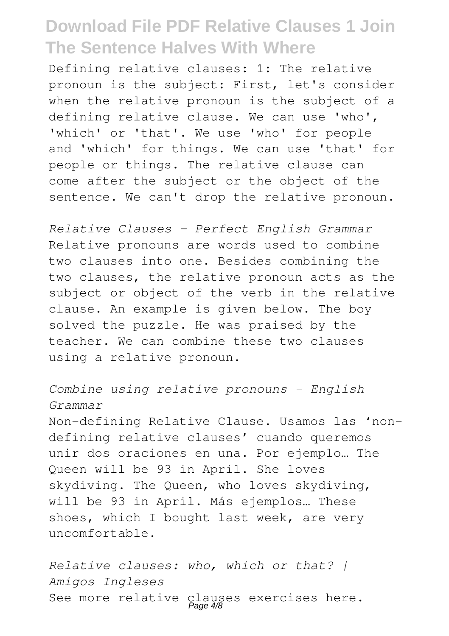Defining relative clauses: 1: The relative pronoun is the subject: First, let's consider when the relative pronoun is the subject of a defining relative clause. We can use 'who', 'which' or 'that'. We use 'who' for people and 'which' for things. We can use 'that' for people or things. The relative clause can come after the subject or the object of the sentence. We can't drop the relative pronoun.

*Relative Clauses - Perfect English Grammar* Relative pronouns are words used to combine two clauses into one. Besides combining the two clauses, the relative pronoun acts as the subject or object of the verb in the relative clause. An example is given below. The boy solved the puzzle. He was praised by the teacher. We can combine these two clauses using a relative pronoun.

*Combine using relative pronouns - English Grammar* Non-defining Relative Clause. Usamos las 'nondefining relative clauses' cuando queremos unir dos oraciones en una. Por ejemplo… The Queen will be 93 in April. She loves skydiving. The Queen, who loves skydiving, will be 93 in April. Más ejemplos… These shoes, which I bought last week, are very uncomfortable.

*Relative clauses: who, which or that? | Amigos Ingleses* See more relative clauses exercises here.<br>Page 4/8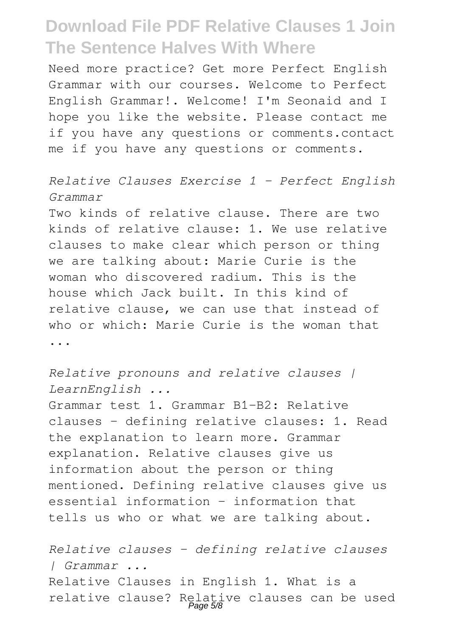Need more practice? Get more Perfect English Grammar with our courses. Welcome to Perfect English Grammar!. Welcome! I'm Seonaid and I hope you like the website. Please contact me if you have any questions or comments.contact me if you have any questions or comments.

#### *Relative Clauses Exercise 1 - Perfect English Grammar*

Two kinds of relative clause. There are two kinds of relative clause: 1. We use relative clauses to make clear which person or thing we are talking about: Marie Curie is the woman who discovered radium. This is the house which Jack built. In this kind of relative clause, we can use that instead of who or which: Marie Curie is the woman that ...

*Relative pronouns and relative clauses | LearnEnglish ...*

Grammar test 1. Grammar B1-B2: Relative clauses – defining relative clauses: 1. Read the explanation to learn more. Grammar explanation. Relative clauses give us information about the person or thing mentioned. Defining relative clauses give us essential information – information that tells us who or what we are talking about.

*Relative clauses – defining relative clauses | Grammar ...* Relative Clauses in English 1. What is a relative clause? Relative clauses can be used Page 5/8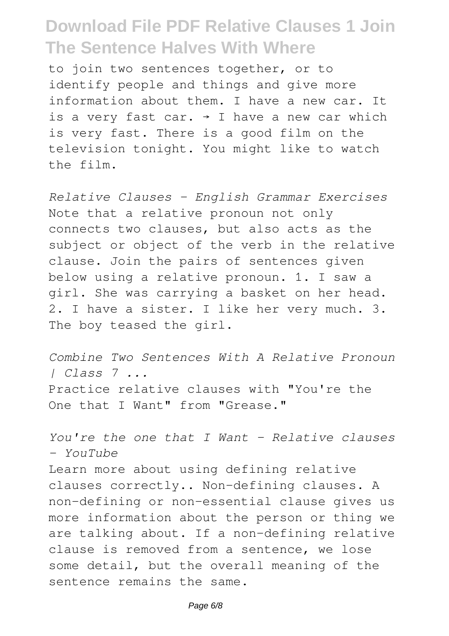to join two sentences together, or to identify people and things and give more information about them. I have a new car. It is a very fast car.  $\rightarrow$  I have a new car which is very fast. There is a good film on the television tonight. You might like to watch the film.

*Relative Clauses - English Grammar Exercises* Note that a relative pronoun not only connects two clauses, but also acts as the subject or object of the verb in the relative clause. Join the pairs of sentences given below using a relative pronoun. 1. I saw a girl. She was carrying a basket on her head. 2. I have a sister. I like her very much. 3. The boy teased the girl.

*Combine Two Sentences With A Relative Pronoun | Class 7 ...* Practice relative clauses with "You're the One that I Want" from "Grease."

*You're the one that I Want - Relative clauses - YouTube*

Learn more about using defining relative clauses correctly.. Non-defining clauses. A non-defining or non-essential clause gives us more information about the person or thing we are talking about. If a non-defining relative clause is removed from a sentence, we lose some detail, but the overall meaning of the sentence remains the same.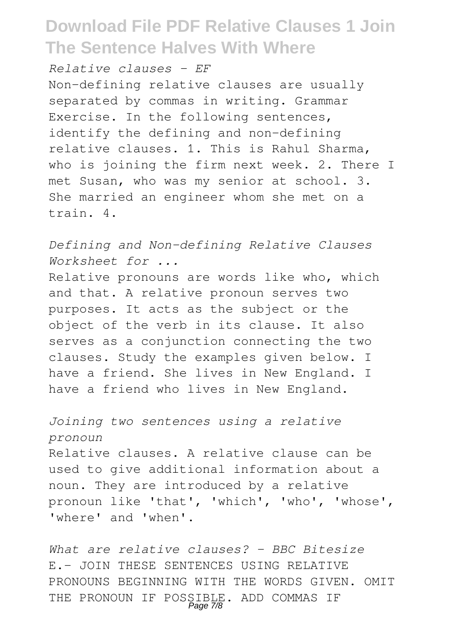*Relative clauses - EF*

Non-defining relative clauses are usually separated by commas in writing. Grammar Exercise. In the following sentences, identify the defining and non-defining relative clauses. 1. This is Rahul Sharma, who is joining the firm next week. 2. There I met Susan, who was my senior at school. 3. She married an engineer whom she met on a train. 4.

*Defining and Non-defining Relative Clauses Worksheet for ...*

Relative pronouns are words like who, which and that. A relative pronoun serves two purposes. It acts as the subject or the object of the verb in its clause. It also serves as a conjunction connecting the two clauses. Study the examples given below. I have a friend. She lives in New England. I have a friend who lives in New England.

*Joining two sentences using a relative pronoun* Relative clauses. A relative clause can be used to give additional information about a noun. They are introduced by a relative pronoun like 'that', 'which', 'who', 'whose', 'where' and 'when'.

*What are relative clauses? - BBC Bitesize* E.- JOIN THESE SENTENCES USING RELATIVE PRONOUNS BEGINNING WITH THE WORDS GIVEN. OMIT THE PRONOUN IF POSSIBLE. ADD COMMAS IF